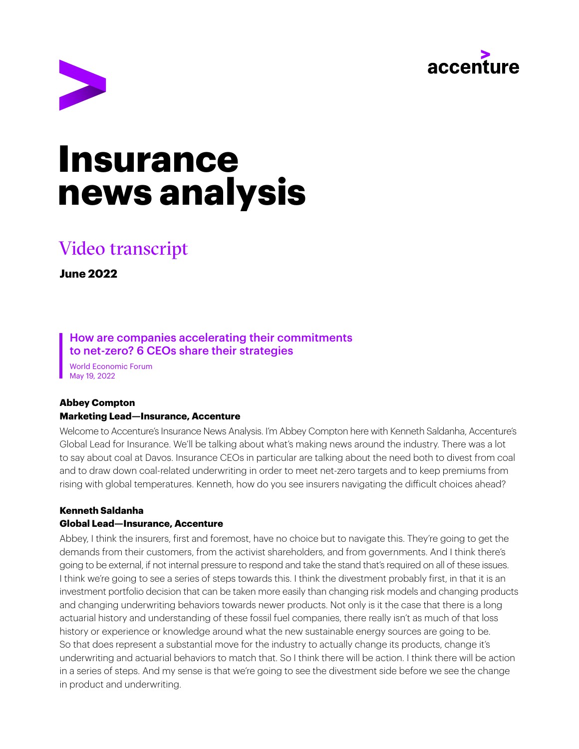



# **Insurance news analysis**

# Video transcript

**June 2022**

How are companies accelerating their commitments to net-zero? 6 CEOs share their strategies

World Economic Forum May 19, 2022

#### **Abbey Compton Marketing Lead—Insurance, Accenture**

Welcome to Accenture's Insurance News Analysis. I'm Abbey Compton here with Kenneth Saldanha, Accenture's Global Lead for Insurance. We'll be talking about what's making news around the industry. There was a lot to say about coal at Davos. Insurance CEOs in particular are talking about the need both to divest from coal and to draw down coal-related underwriting in order to meet net-zero targets and to keep premiums from rising with global temperatures. Kenneth, how do you see insurers navigating the difficult choices ahead?

### **Kenneth Saldanha**

#### **Global Lead—Insurance, Accenture**

Abbey, I think the insurers, first and foremost, have no choice but to navigate this. They're going to get the demands from their customers, from the activist shareholders, and from governments. And I think there's going to be external, if not internal pressure to respond and take the stand that's required on all of these issues. I think we're going to see a series of steps towards this. I think the divestment probably first, in that it is an investment portfolio decision that can be taken more easily than changing risk models and changing products and changing underwriting behaviors towards newer products. Not only is it the case that there is a long actuarial history and understanding of these fossil fuel companies, there really isn't as much of that loss history or experience or knowledge around what the new sustainable energy sources are going to be. So that does represent a substantial move for the industry to actually change its products, change it's underwriting and actuarial behaviors to match that. So I think there will be action. I think there will be action in a series of steps. And my sense is that we're going to see the divestment side before we see the change in product and underwriting.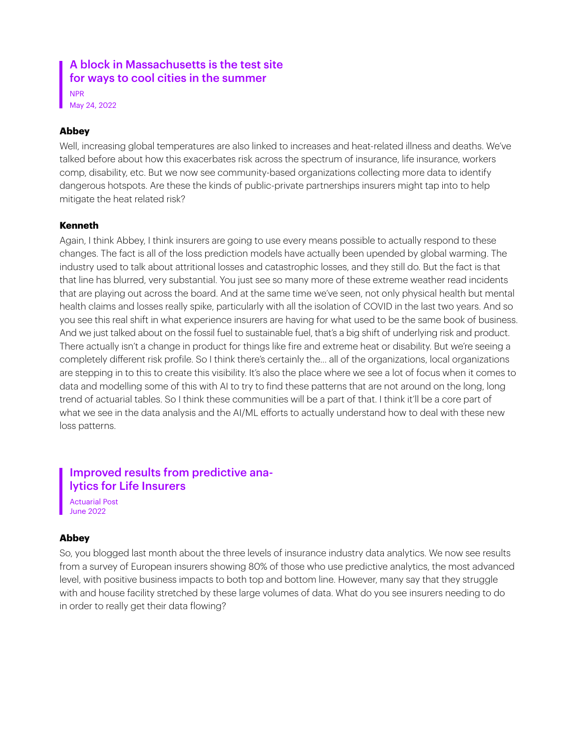# A block in Massachusetts is the test site for ways to cool cities in the summer

NPR May 24, 2022

#### **Abbey**

Well, increasing global temperatures are also linked to increases and heat-related illness and deaths. We've talked before about how this exacerbates risk across the spectrum of insurance, life insurance, workers comp, disability, etc. But we now see community-based organizations collecting more data to identify dangerous hotspots. Are these the kinds of public-private partnerships insurers might tap into to help mitigate the heat related risk?

#### **Kenneth**

Again, I think Abbey, I think insurers are going to use every means possible to actually respond to these changes. The fact is all of the loss prediction models have actually been upended by global warming. The industry used to talk about attritional losses and catastrophic losses, and they still do. But the fact is that that line has blurred, very substantial. You just see so many more of these extreme weather read incidents that are playing out across the board. And at the same time we've seen, not only physical health but mental health claims and losses really spike, particularly with all the isolation of COVID in the last two years. And so you see this real shift in what experience insurers are having for what used to be the same book of business. And we just talked about on the fossil fuel to sustainable fuel, that's a big shift of underlying risk and product. There actually isn't a change in product for things like fire and extreme heat or disability. But we're seeing a completely different risk profile. So I think there's certainly the... all of the organizations, local organizations are stepping in to this to create this visibility. It's also the place where we see a lot of focus when it comes to data and modelling some of this with AI to try to find these patterns that are not around on the long, long trend of actuarial tables. So I think these communities will be a part of that. I think it'll be a core part of what we see in the data analysis and the AI/ML efforts to actually understand how to deal with these new loss patterns.

# Improved results from predictive analytics for Life Insurers

Actuarial Post June 2022

#### **Abbey**

So, you blogged last month about the three levels of insurance industry data analytics. We now see results from a survey of European insurers showing 80% of those who use predictive analytics, the most advanced level, with positive business impacts to both top and bottom line. However, many say that they struggle with and house facility stretched by these large volumes of data. What do you see insurers needing to do in order to really get their data flowing?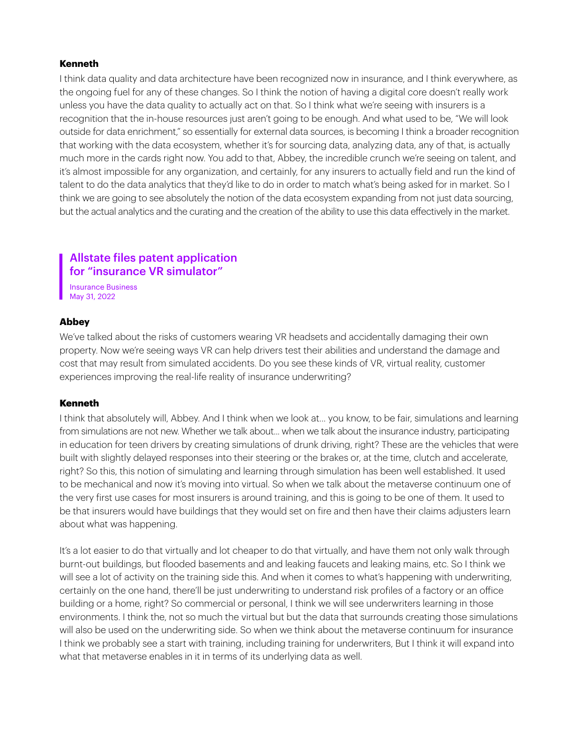#### **Kenneth**

I think data quality and data architecture have been recognized now in insurance, and I think everywhere, as the ongoing fuel for any of these changes. So I think the notion of having a digital core doesn't really work unless you have the data quality to actually act on that. So I think what we're seeing with insurers is a recognition that the in-house resources just aren't going to be enough. And what used to be, "We will look outside for data enrichment," so essentially for external data sources, is becoming I think a broader recognition that working with the data ecosystem, whether it's for sourcing data, analyzing data, any of that, is actually much more in the cards right now. You add to that, Abbey, the incredible crunch we're seeing on talent, and it's almost impossible for any organization, and certainly, for any insurers to actually field and run the kind of talent to do the data analytics that they'd like to do in order to match what's being asked for in market. So I think we are going to see absolutely the notion of the data ecosystem expanding from not just data sourcing, but the actual analytics and the curating and the creation of the ability to use this data effectively in the market.

# Allstate files patent application for "insurance VR simulator"

Insurance Business May 31, 2022

#### **Abbey**

We've talked about the risks of customers wearing VR headsets and accidentally damaging their own property. Now we're seeing ways VR can help drivers test their abilities and understand the damage and cost that may result from simulated accidents. Do you see these kinds of VR, virtual reality, customer experiences improving the real-life reality of insurance underwriting?

#### Kenneth

I think that absolutely will, Abbey. And I think when we look at... you know, to be fair, simulations and learning from simulations are not new. Whether we talk about... when we talk about the insurance industry, participating in education for teen drivers by creating simulations of drunk driving, right? These are the vehicles that were built with slightly delayed responses into their steering or the brakes or, at the time, clutch and accelerate, right? So this, this notion of simulating and learning through simulation has been well established. It used to be mechanical and now it's moving into virtual. So when we talk about the metaverse continuum one of the very first use cases for most insurers is around training, and this is going to be one of them. It used to be that insurers would have buildings that they would set on fire and then have their claims adjusters learn about what was happening.

It's a lot easier to do that virtually and lot cheaper to do that virtually, and have them not only walk through burnt-out buildings, but flooded basements and and leaking faucets and leaking mains, etc. So I think we will see a lot of activity on the training side this. And when it comes to what's happening with underwriting, certainly on the one hand, there'll be just underwriting to understand risk profiles of a factory or an office building or a home, right? So commercial or personal, I think we will see underwriters learning in those environments. I think the, not so much the virtual but but the data that surrounds creating those simulations will also be used on the underwriting side. So when we think about the metaverse continuum for insurance I think we probably see a start with training, including training for underwriters, But I think it will expand into what that metaverse enables in it in terms of its underlying data as well.